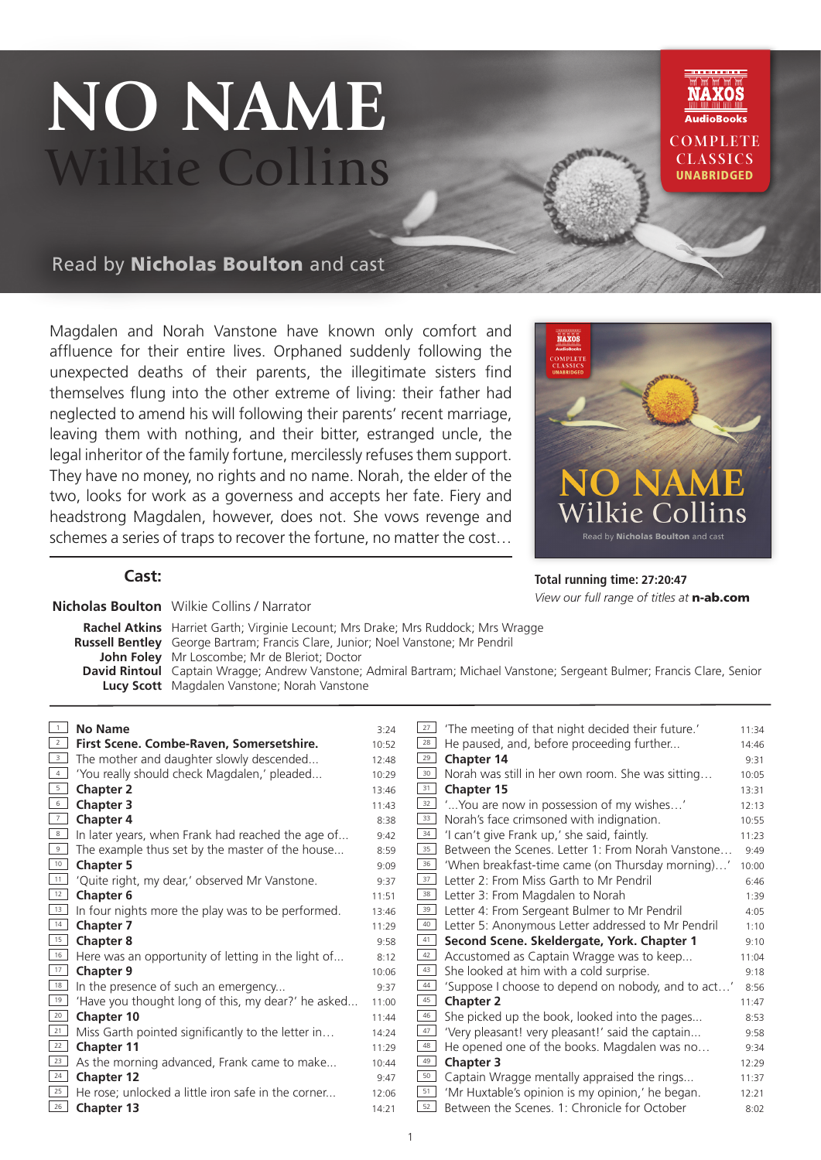# **NO NAME** Wilkie Collins



Read by Nicholas Boulton and cast

Magdalen and Norah Vanstone have known only comfort and affluence for their entire lives. Orphaned suddenly following the unexpected deaths of their parents, the illegitimate sisters find themselves flung into the other extreme of living: their father had neglected to amend his will following their parents' recent marriage, leaving them with nothing, and their bitter, estranged uncle, the legal inheritor of the family fortune, mercilessly refuses them support. They have no money, no rights and no name. Norah, the elder of the two, looks for work as a governess and accepts her fate. Fiery and headstrong Magdalen, however, does not. She vows revenge and schemes a series of traps to recover the fortune, no matter the cost…



**Total running time: 27:20:47**

*View our full range of titles at* n-ab.com

### **Cast:**

**Nicholas Boulton** Wilkie Collins / Narrator

**Rachel Atkins** Harriet Garth; Virginie Lecount; Mrs Drake; Mrs Ruddock; Mrs Wragge **Russell Bentley** George Bartram; Francis Clare, Junior; Noel Vanstone; Mr Pendril **John Foley** Mr Loscombe; Mr de Bleriot; Doctor **David Rintoul** Captain Wragge; Andrew Vanstone; Admiral Bartram; Michael Vanstone; Sergeant Bulmer; Francis Clare, Senior **Lucy Scott** Magdalen Vanstone; Norah Vanstone

| $\overline{1}$          | <b>No Name</b>                                     | 3:24  | 27              | 'The meeting of that night decided their future.'  | 11:34 |
|-------------------------|----------------------------------------------------|-------|-----------------|----------------------------------------------------|-------|
| $\overline{2}$          | First Scene. Combe-Raven, Somersetshire.           | 10:52 | 28              | He paused, and, before proceeding further          | 14:46 |
| $\overline{\mathbf{3}}$ | The mother and daughter slowly descended           | 12:48 | 29              | Chapter 14                                         | 9:31  |
| $\overline{4}$          | 'You really should check Magdalen,' pleaded        | 10:29 | 30 <sub>1</sub> | Norah was still in her own room. She was sitting   | 10:05 |
| 5                       | <b>Chapter 2</b>                                   | 13:46 | 31              | <b>Chapter 15</b>                                  | 13:31 |
| $6\overline{6}$         | <b>Chapter 3</b>                                   | 11:43 | 32              | ' You are now in possession of my wishes'          | 12:13 |
| $\overline{7}$          | <b>Chapter 4</b>                                   | 8:38  | 33              | Norah's face crimsoned with indignation.           | 10:55 |
| 8                       | In later years, when Frank had reached the age of  | 9:42  | 34              | 'I can't give Frank up,' she said, faintly.        | 11:23 |
| 9                       | The example thus set by the master of the house    | 8:59  | 35              | Between the Scenes. Letter 1: From Norah Vanstone  | 9:49  |
| 10                      | <b>Chapter 5</b>                                   | 9:09  | 36              | 'When breakfast-time came (on Thursday morning)'   | 10:00 |
| 11                      | 'Quite right, my dear,' observed Mr Vanstone.      | 9:37  | 37              | Letter 2: From Miss Garth to Mr Pendril            | 6:46  |
| 12                      | <b>Chapter 6</b>                                   | 11:51 | 38              | Letter 3: From Magdalen to Norah                   | 1:39  |
| 13                      | In four nights more the play was to be performed.  | 13:46 | 39              | Letter 4: From Sergeant Bulmer to Mr Pendril       | 4:05  |
| 14                      | <b>Chapter 7</b>                                   | 11:29 | 40              | Letter 5: Anonymous Letter addressed to Mr Pendril | 1:10  |
| 15                      | <b>Chapter 8</b>                                   | 9:58  | 41              | Second Scene. Skeldergate, York. Chapter 1         | 9:10  |
| 16                      | Here was an opportunity of letting in the light of | 8:12  | 42              | Accustomed as Captain Wragge was to keep           | 11:04 |
| 17                      | <b>Chapter 9</b>                                   | 10:06 | 43              | She looked at him with a cold surprise.            | 9:18  |
| 18                      | In the presence of such an emergency               | 9:37  | 44              | 'Suppose I choose to depend on nobody, and to act' | 8:56  |
| 19                      | 'Have you thought long of this, my dear?' he asked | 11:00 | 45              | <b>Chapter 2</b>                                   | 11:47 |
| 20                      | Chapter 10                                         | 11:44 | 46              | She picked up the book, looked into the pages      | 8:53  |
| 21                      | Miss Garth pointed significantly to the letter in  | 14:24 | 47              | 'Very pleasant! very pleasant!' said the captain   | 9:58  |
| $\overline{22}$         | <b>Chapter 11</b>                                  | 11:29 | 48              | He opened one of the books. Magdalen was no        | 9:34  |
| 23                      | As the morning advanced, Frank came to make        | 10:44 | 49              | <b>Chapter 3</b>                                   | 12:29 |
| 24                      | <b>Chapter 12</b>                                  | 9:47  | 50              | Captain Wragge mentally appraised the rings        | 11:37 |
| 25                      | He rose; unlocked a little iron safe in the corner | 12:06 | 51              | 'Mr Huxtable's opinion is my opinion,' he began.   | 12:21 |
| 26                      | <b>Chapter 13</b>                                  | 14:21 | 52              | Between the Scenes. 1: Chronicle for October       | 8:02  |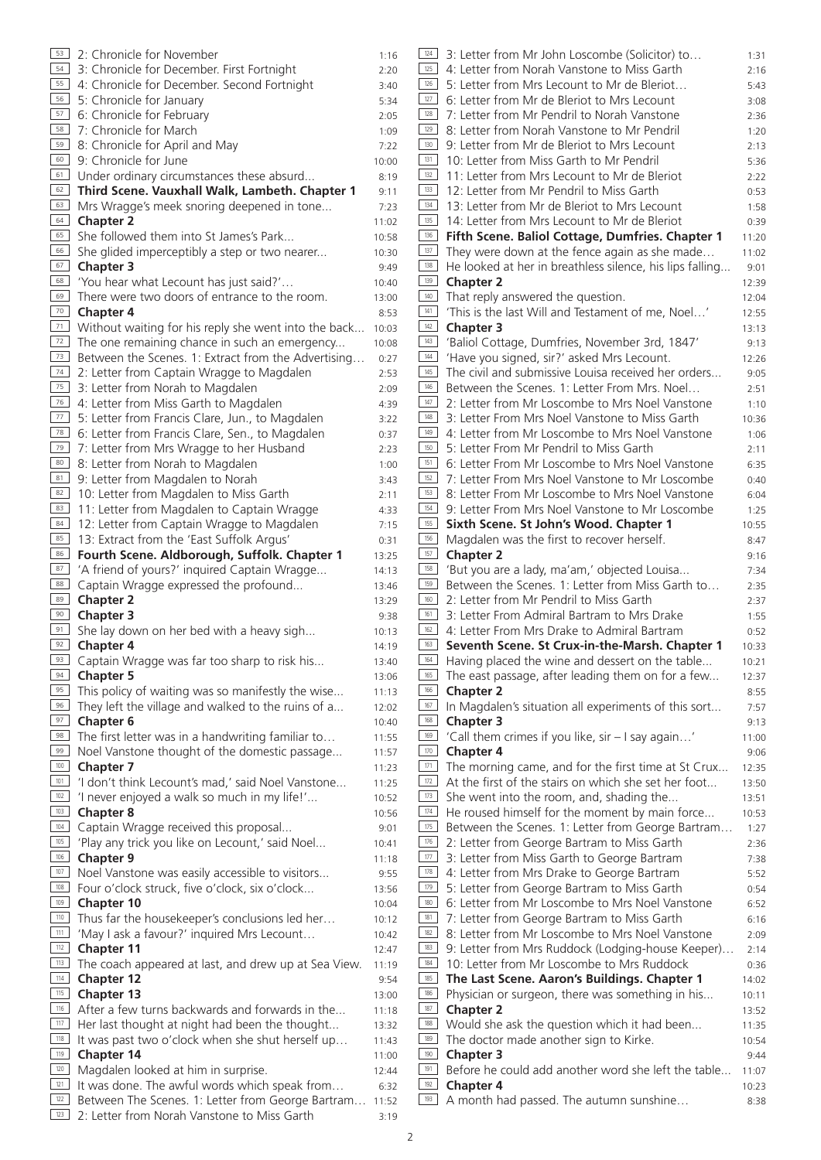| 53         | 2: Chronicle for November                                                                   | 1:16           | 124        |
|------------|---------------------------------------------------------------------------------------------|----------------|------------|
| 54         | 3: Chronicle for December. First Fortnight                                                  | 2:20           | 125        |
| 55         | 4: Chronicle for December. Second Fortnight                                                 | 3:40           | 126        |
| 56         | 5: Chronicle for January                                                                    | 5:34           | 127        |
| 57         | 6: Chronicle for February                                                                   | 2:05           | 128        |
| 58         | 7: Chronicle for March                                                                      | 1:09           | 129        |
| 59         | 8: Chronicle for April and May                                                              | 7:22           | 130        |
| 60<br>61   | 9: Chronicle for June                                                                       | 10:00          | 131<br>132 |
| 62         | Under ordinary circumstances these absurd<br>Third Scene. Vauxhall Walk, Lambeth. Chapter 1 | 8:19           | 133        |
| 63         | Mrs Wragge's meek snoring deepened in tone                                                  | 9:11<br>7:23   | 134        |
| 64         | <b>Chapter 2</b>                                                                            | 11:02          | 135        |
| 65         | She followed them into St James's Park                                                      | 10:58          | 136        |
| 66         | She glided imperceptibly a step or two nearer                                               | 10:30          | 137        |
| 67         | <b>Chapter 3</b>                                                                            | 9:49           | 138        |
| 68         | 'You hear what Lecount has just said?'                                                      | 10:40          | 139        |
| 69         | There were two doors of entrance to the room.                                               | 13:00          | 140        |
| 70         | <b>Chapter 4</b>                                                                            | 8:53           | 141        |
| 71         | Without waiting for his reply she went into the back                                        | 10:03          | 142        |
| 72         | The one remaining chance in such an emergency                                               | 10:08          | 143<br>144 |
| 73<br>74   | Between the Scenes. 1: Extract from the Advertising                                         | 0:27           | 145        |
| 75         | 2: Letter from Captain Wragge to Magdalen<br>3: Letter from Norah to Magdalen               | 2:53           | 146        |
| 76         | 4: Letter from Miss Garth to Magdalen                                                       | 2:09<br>4:39   | 147        |
| 77         | 5: Letter from Francis Clare, Jun., to Magdalen                                             | 3:22           | 148        |
| 78         | 6: Letter from Francis Clare, Sen., to Magdalen                                             | 0:37           | 149        |
| 79         | 7: Letter from Mrs Wragge to her Husband                                                    | 2:23           | 150        |
| 80         | 8: Letter from Norah to Magdalen                                                            | 1:00           | 151        |
| 81         | 9: Letter from Magdalen to Norah                                                            | 3:43           | 152        |
| 82         | 10: Letter from Magdalen to Miss Garth                                                      | 2:11           | 153        |
| 83         | 11: Letter from Magdalen to Captain Wragge                                                  | 4:33           | 154        |
| 84         | 12: Letter from Captain Wragge to Magdalen                                                  | 7:15           | 155        |
| 85         | 13: Extract from the 'East Suffolk Argus'                                                   | 0:31           | 156        |
| 86<br>87   | Fourth Scene. Aldborough, Suffolk. Chapter 1                                                | 13:25          | 157<br>158 |
| 88         | 'A friend of yours?' inquired Captain Wragge<br>Captain Wragge expressed the profound       | 14:13<br>13:46 | 159        |
| 89         | <b>Chapter 2</b>                                                                            | 13:29          | 160        |
| 90         | <b>Chapter 3</b>                                                                            | 9:38           | 161        |
| 91         | She lay down on her bed with a heavy sigh                                                   | 10:13          | 162        |
| 92         | <b>Chapter 4</b>                                                                            | 14:19          | 163        |
| 93         | Captain Wragge was far too sharp to risk his                                                | 13:40          | 164        |
| 94         | <b>Chapter 5</b>                                                                            | 13:06          | 165        |
| 95         | This policy of waiting was so manifestly the wise                                           | 11:13          | 166        |
| 96         | They left the village and walked to the ruins of a                                          | 12:02          | 167        |
| 97         | <b>Chapter 6</b>                                                                            | 10:40          | 168        |
| 98<br>99   | The first letter was in a handwriting familiar to                                           | 11:55          | 169<br>170 |
| 100        | Noel Vanstone thought of the domestic passage<br><b>Chapter 7</b>                           | 11:57          | 171        |
| 101        | 'I don't think Lecount's mad,' said Noel Vanstone                                           | 11:23<br>11:25 | 172        |
| 102        | 'I never enjoyed a walk so much in my life!'                                                | 10:52          | 173        |
| 103        | <b>Chapter 8</b>                                                                            | 10:56          | 174        |
| 104        | Captain Wragge received this proposal                                                       | 9:01           | 175        |
| 105        | 'Play any trick you like on Lecount,' said Noel                                             | 10:41          | 176        |
| 106        | <b>Chapter 9</b>                                                                            | 11:18          | 177        |
| 107        | Noel Vanstone was easily accessible to visitors                                             | 9:55           | 178        |
| 108        | Four o'clock struck, five o'clock, six o'clock                                              | 13:56          | 179        |
| 109        | <b>Chapter 10</b>                                                                           | 10:04          | 180        |
| 110<br>111 | Thus far the housekeeper's conclusions led her                                              | 10:12          | 181<br>182 |
| $112$      | 'May I ask a favour?' inquired Mrs Lecount<br><b>Chapter 11</b>                             | 10:42          | 183        |
| 113        | The coach appeared at last, and drew up at Sea View.                                        | 12:47          | 184        |
| $114$      | <b>Chapter 12</b>                                                                           | 11:19<br>9:54  | 185        |
| 115        | <b>Chapter 13</b>                                                                           | 13:00          | 186        |
| 116        | After a few turns backwards and forwards in the                                             | 11:18          | 187        |
| 117        | Her last thought at night had been the thought                                              | 13:32          | 188        |
| 118        | It was past two o'clock when she shut herself up                                            | 11:43          | 189        |
| 119        | <b>Chapter 14</b>                                                                           | 11:00          | 190        |
| 120        | Magdalen looked at him in surprise.                                                         | 12:44          | 191        |
| 121        | It was done. The awful words which speak from                                               | 6:32           | 192        |
| 122<br>123 | Between The Scenes. 1: Letter from George Bartram                                           | 11:52          | 193        |
|            | 2: Letter from Norah Vanstone to Miss Garth                                                 | 3:19           |            |

| 124 | 3: Letter from Mr John Loscombe (Solicitor) to           | 1:31  |
|-----|----------------------------------------------------------|-------|
| 125 | 4: Letter from Norah Vanstone to Miss Garth              | 2:16  |
| 126 | 5: Letter from Mrs Lecount to Mr de Bleriot              | 5:43  |
| 127 | 6: Letter from Mr de Bleriot to Mrs Lecount              | 3:08  |
| 128 | 7: Letter from Mr Pendril to Norah Vanstone              | 2:36  |
| 129 | 8: Letter from Norah Vanstone to Mr Pendril              | 1:20  |
| 130 | 9: Letter from Mr de Bleriot to Mrs Lecount              | 2:13  |
| 131 | 10: Letter from Miss Garth to Mr Pendril                 | 5:36  |
| 132 | 11: Letter from Mrs Lecount to Mr de Bleriot             | 2:22  |
| 133 | 12: Letter from Mr Pendril to Miss Garth                 | 0:53  |
| 134 | 13: Letter from Mr de Bleriot to Mrs Lecount             | 1:58  |
| 135 | 14: Letter from Mrs Lecount to Mr de Bleriot             | 0:39  |
| 136 | Fifth Scene. Baliol Cottage, Dumfries. Chapter 1         | 11:20 |
| 137 | They were down at the fence again as she made            | 11:02 |
| 138 | He looked at her in breathless silence, his lips falling | 9:01  |
| 139 | <b>Chapter 2</b>                                         | 12:39 |
| 140 | That reply answered the question.                        | 12:04 |
| 141 | 'This is the last Will and Testament of me, Noel'        | 12:55 |
| 142 | <b>Chapter 3</b>                                         | 13:13 |
| 143 | 'Baliol Cottage, Dumfries, November 3rd, 1847'           | 9:13  |
| 144 | 'Have you signed, sir?' asked Mrs Lecount.               | 12:26 |
| 145 | The civil and submissive Louisa received her orders      | 9:05  |
| 146 | Between the Scenes. 1: Letter From Mrs. Noel             | 2:51  |
| 147 | 2: Letter from Mr Loscombe to Mrs Noel Vanstone          | 1:10  |
| 148 | 3: Letter From Mrs Noel Vanstone to Miss Garth           | 10:36 |
| 149 | 4: Letter from Mr Loscombe to Mrs Noel Vanstone          | 1:06  |
| 150 | 5: Letter From Mr Pendril to Miss Garth                  | 2:11  |
| 151 | 6: Letter From Mr Loscombe to Mrs Noel Vanstone          | 6:35  |
| 152 | 7: Letter From Mrs Noel Vanstone to Mr Loscombe          | 0:40  |
| 153 | 8: Letter From Mr Loscombe to Mrs Noel Vanstone          | 6:04  |
| 154 | 9: Letter From Mrs Noel Vanstone to Mr Loscombe          | 1:25  |
| 155 | Sixth Scene. St John's Wood. Chapter 1                   | 10:55 |
| 156 | Magdalen was the first to recover herself.               | 8:47  |
| 157 | <b>Chapter 2</b>                                         | 9:16  |
| 158 | 'But you are a lady, ma'am,' objected Louisa             | 7:34  |
| 159 | Between the Scenes. 1: Letter from Miss Garth to         | 2:35  |
| 160 | 2: Letter from Mr Pendril to Miss Garth                  | 2:37  |
| 161 | 3: Letter From Admiral Bartram to Mrs Drake              | 1:55  |
| 162 | 4: Letter From Mrs Drake to Admiral Bartram              | 0:52  |
| 163 | Seventh Scene. St Crux-in-the-Marsh. Chapter 1           | 10:33 |
| 164 | Having placed the wine and dessert on the table          | 10:21 |
| 165 | The east passage, after leading them on for a few        | 12:37 |
| 166 | <b>Chapter 2</b>                                         | 8:55  |
| 167 | In Magdalen's situation all experiments of this sort     | 7:57  |
| 168 | <b>Chapter 3</b>                                         | 9:13  |
| 169 | 'Call them crimes if you like, sir - I say again'        | 11:00 |
| 170 | <b>Chapter 4</b>                                         | 9:06  |
| 171 | The morning came, and for the first time at St Crux      | 12:35 |
| 172 | At the first of the stairs on which she set her foot     | 13:50 |
| 173 | She went into the room, and, shading the                 | 13:51 |
| 174 | He roused himself for the moment by main force           | 10:53 |
| 175 | Between the Scenes. 1: Letter from George Bartram        | 1:27  |
| 176 | 2: Letter from George Bartram to Miss Garth              | 2:36  |
| 177 | 3: Letter from Miss Garth to George Bartram              | 7:38  |
| 178 | 4: Letter from Mrs Drake to George Bartram               | 5:52  |
| 179 | 5: Letter from George Bartram to Miss Garth              | 0:54  |
| 180 | 6: Letter from Mr Loscombe to Mrs Noel Vanstone          | 6:52  |
| 181 | 7: Letter from George Bartram to Miss Garth              | 6:16  |
| 182 | 8: Letter from Mr Loscombe to Mrs Noel Vanstone          | 2:09  |
| 183 | 9: Letter from Mrs Ruddock (Lodging-house Keeper)        | 2:14  |
| 184 | 10: Letter from Mr Loscombe to Mrs Ruddock               | 0:36  |
| 185 | The Last Scene. Aaron's Buildings. Chapter 1             | 14:02 |
| 186 | Physician or surgeon, there was something in his         | 10:11 |
| 187 | <b>Chapter 2</b>                                         | 13:52 |
| 188 | Would she ask the question which it had been             | 11:35 |
| 189 | The doctor made another sign to Kirke.                   | 10:54 |
| 190 | <b>Chapter 3</b>                                         | 9:44  |
| 191 | Before he could add another word she left the table      | 11:07 |
| 192 | <b>Chapter 4</b>                                         | 10:23 |
| 193 | A month had passed. The autumn sunshine                  | 8:38  |
|     |                                                          |       |